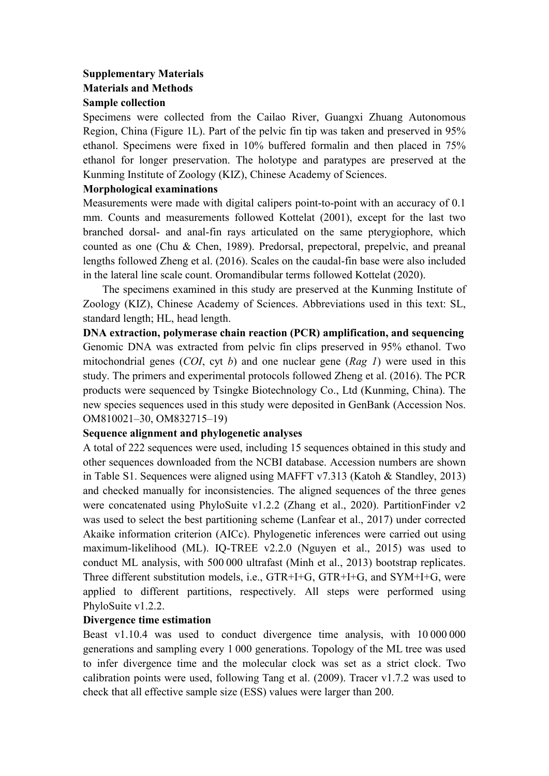# **Supplementary Materials Materials and Methods Sample collection**

Specimens were collected from the Cailao River, Guangxi Zhuang Autonomous Region, China (Figure 1L). Part of the pelvic fin tip was taken and preserved in 95% ethanol. Specimens were fixed in 10% buffered formalin and then placed in 75% ethanol for longer preservation. The holotype and paratypes are preserved at the Kunming Institute of Zoology (KIZ), Chinese Academy of Sciences.

### **Morphological examinations**

Measurements were made with digital calipers point-to-point with an accuracy of 0.1 mm. Counts and measurements followed Kottelat (2001), except for the last two branched dorsal- and anal-fin rays articulated on the same pterygiophore, which counted as one (Chu & Chen, 1989). Predorsal, prepectoral, prepelvic, and preanal lengths followed Zheng et al. (2016). Scales on the caudal-fin base were also included in the lateral line scale count. Oromandibular terms followed Kottelat (2020).

The specimens examined in this study are preserved at the Kunming Institute of Zoology (KIZ), Chinese Academy of Sciences. Abbreviations used in this text: SL, standard length; HL, head length.

**DNA extraction, polymerase chain reaction (PCR) amplification, and sequencing** Genomic DNA was extracted from pelvic fin clips preserved in 95% ethanol. Two mitochondrial genes (*COI*, cyt *b*) and one nuclear gene (*Rag 1*) were used in this study. The primers and experimental protocols followed Zheng et al. (2016). The PCR products were sequenced by Tsingke Biotechnology Co., Ltd (Kunming, China). The new species sequences used in this study were deposited in GenBank (Accession Nos. OM810021–30, OM832715–19)

## **Sequence alignment and phylogenetic analyses**

A total of 222 sequences were used, including 15 sequences obtained in this study and other sequences downloaded from the NCBI database. Accession numbers are shown in Table S1. Sequences were aligned using MAFFT v7.313 (Katoh & Standley, 2013) and checked manually for inconsistencies. The aligned sequences of the three genes were concatenated using PhyloSuite v1.2.2 (Zhang et al., 2020). PartitionFinder v2 was used to select the best partitioning scheme (Lanfear et al., 2017) under corrected Akaike information criterion (AICc). Phylogenetic inferences were carried out using maximum-likelihood (ML). IQ-TREE v2.2.0 (Nguyen et al., 2015) was used to conduct ML analysis, with 500 000 ultrafast (Minh et al., 2013) bootstrap replicates. Three different substitution models, i.e., GTR+I+G, GTR+I+G, and SYM+I+G, were applied to different partitions, respectively. All steps were performed using PhyloSuite v1.2.2.

## **Divergence time estimation**

Beast v1.10.4 was used to conduct divergence time analysis, with 10 000 000 generations and sampling every 1 000 generations. Topology of the ML tree was used to infer divergence time and the molecular clock was set as a strict clock. Two calibration points were used, following Tang et al. (2009). Tracer v1.7.2 was used to check that all effective sample size (ESS) values were larger than 200.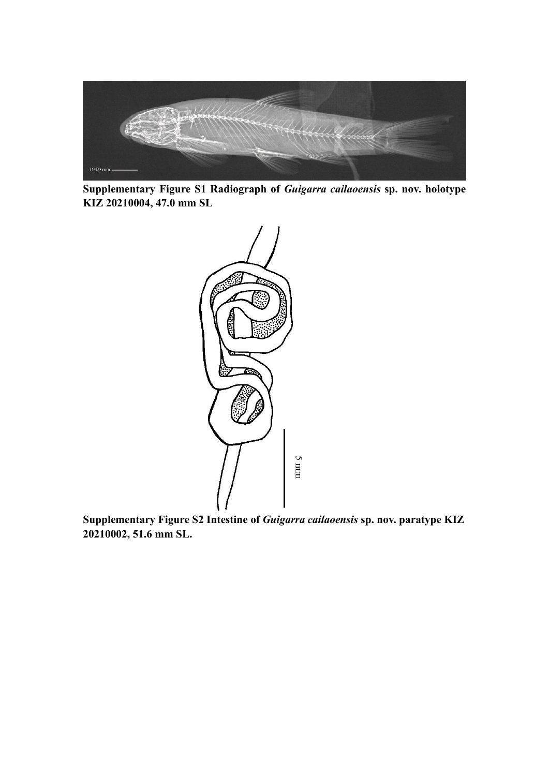

**Supplementary Figure S1 Radiograph of** *Guigarra cailaoensis* **sp. nov. holotype KIZ 20210004, 47.0 mm SL**



**Supplementary Figure S2 Intestine of** *Guigarra cailaoensis* **sp. nov. paratype KIZ 20210002, 51.6 mm SL.**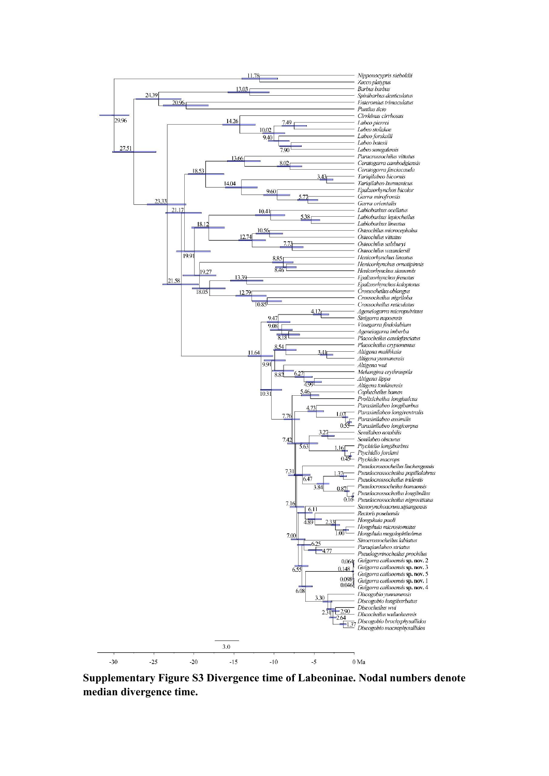

**Supplementary Figure S3 Divergence time of Labeoninae. Nodal numbers denote median divergence time.**